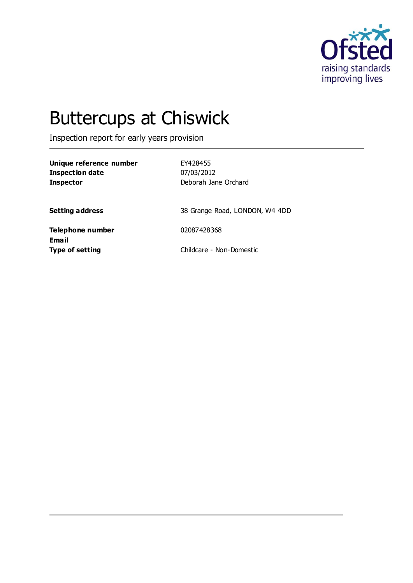

# Buttercups at Chiswick

Inspection report for early years provision

**Unique reference number** EY428455 **Inspection date** 07/03/2012 **Inspector** Deborah Jane Orchard

**Setting address** 38 Grange Road, LONDON, W4 4DD

**Telephone number** 02087428368 **Email**

**Type of setting** Childcare - Non-Domestic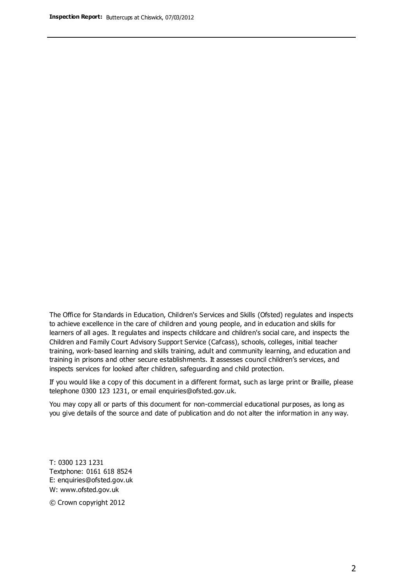The Office for Standards in Education, Children's Services and Skills (Ofsted) regulates and inspects to achieve excellence in the care of children and young people, and in education and skills for learners of all ages. It regulates and inspects childcare and children's social care, and inspects the Children and Family Court Advisory Support Service (Cafcass), schools, colleges, initial teacher training, work-based learning and skills training, adult and community learning, and education and training in prisons and other secure establishments. It assesses council children's services, and inspects services for looked after children, safeguarding and child protection.

If you would like a copy of this document in a different format, such as large print or Braille, please telephone 0300 123 1231, or email enquiries@ofsted.gov.uk.

You may copy all or parts of this document for non-commercial educational purposes, as long as you give details of the source and date of publication and do not alter the information in any way.

T: 0300 123 1231 Textphone: 0161 618 8524 E: enquiries@ofsted.gov.uk W: [www.ofsted.gov.uk](http://www.ofsted.gov.uk/)

© Crown copyright 2012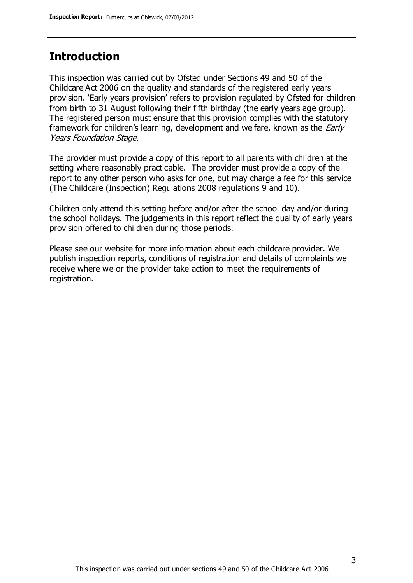## **Introduction**

This inspection was carried out by Ofsted under Sections 49 and 50 of the Childcare Act 2006 on the quality and standards of the registered early years provision. 'Early years provision' refers to provision regulated by Ofsted for children from birth to 31 August following their fifth birthday (the early years age group). The registered person must ensure that this provision complies with the statutory framework for children's learning, development and welfare, known as the *Early* Years Foundation Stage.

The provider must provide a copy of this report to all parents with children at the setting where reasonably practicable. The provider must provide a copy of the report to any other person who asks for one, but may charge a fee for this service (The Childcare (Inspection) Regulations 2008 regulations 9 and 10).

Children only attend this setting before and/or after the school day and/or during the school holidays. The judgements in this report reflect the quality of early years provision offered to children during those periods.

Please see our website for more information about each childcare provider. We publish inspection reports, conditions of registration and details of complaints we receive where we or the provider take action to meet the requirements of registration.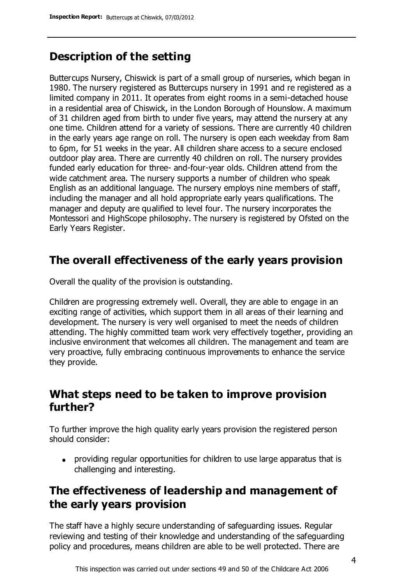# **Description of the setting**

Buttercups Nursery, Chiswick is part of a small group of nurseries, which began in 1980. The nursery registered as Buttercups nursery in 1991 and re registered as a limited company in 2011. It operates from eight rooms in a semi-detached house in a residential area of Chiswick, in the London Borough of Hounslow. A maximum of 31 children aged from birth to under five years, may attend the nursery at any one time. Children attend for a variety of sessions. There are currently 40 children in the early years age range on roll. The nursery is open each weekday from 8am to 6pm, for 51 weeks in the year. All children share access to a secure enclosed outdoor play area. There are currently 40 children on roll. The nursery provides funded early education for three- and-four-year olds. Children attend from the wide catchment area. The nursery supports a number of children who speak English as an additional language. The nursery employs nine members of staff, including the manager and all hold appropriate early years qualifications. The manager and deputy are qualified to level four. The nursery incorporates the Montessori and HighScope philosophy. The nursery is registered by Ofsted on the Early Years Register.

### **The overall effectiveness of the early years provision**

Overall the quality of the provision is outstanding.

Children are progressing extremely well. Overall, they are able to engage in an exciting range of activities, which support them in all areas of their learning and development. The nursery is very well organised to meet the needs of children attending. The highly committed team work very effectively together, providing an inclusive environment that welcomes all children. The management and team are very proactive, fully embracing continuous improvements to enhance the service they provide.

### **What steps need to be taken to improve provision further?**

To further improve the high quality early years provision the registered person should consider:

providing regular opportunities for children to use large apparatus that is challenging and interesting.

# **The effectiveness of leadership and management of the early years provision**

The staff have a highly secure understanding of safeguarding issues. Regular reviewing and testing of their knowledge and understanding of the safeguarding policy and procedures, means children are able to be well protected. There are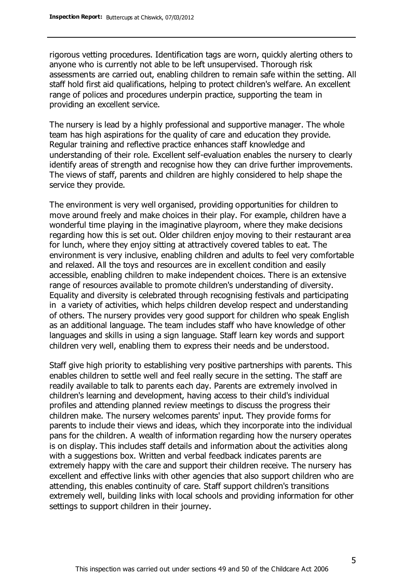rigorous vetting procedures. Identification tags are worn, quickly alerting others to anyone who is currently not able to be left unsupervised. Thorough risk assessments are carried out, enabling children to remain safe within the setting. All staff hold first aid qualifications, helping to protect children's welfare. An excellent range of polices and procedures underpin practice, supporting the team in providing an excellent service.

The nursery is lead by a highly professional and supportive manager. The whole team has high aspirations for the quality of care and education they provide. Regular training and reflective practice enhances staff knowledge and understanding of their role. Excellent self-evaluation enables the nursery to clearly identify areas of strength and recognise how they can drive further improvements. The views of staff, parents and children are highly considered to help shape the service they provide.

The environment is very well organised, providing opportunities for children to move around freely and make choices in their play. For example, children have a wonderful time playing in the imaginative playroom, where they make decisions regarding how this is set out. Older children enjoy moving to their restaurant area for lunch, where they enjoy sitting at attractively covered tables to eat. The environment is very inclusive, enabling children and adults to feel very comfortable and relaxed. All the toys and resources are in excellent condition and easily accessible, enabling children to make independent choices. There is an extensive range of resources available to promote children's understanding of diversity. Equality and diversity is celebrated through recognising festivals and participating in a variety of activities, which helps children develop respect and understanding of others. The nursery provides very good support for children who speak English as an additional language. The team includes staff who have knowledge of other languages and skills in using a sign language. Staff learn key words and support children very well, enabling them to express their needs and be understood.

Staff give high priority to establishing very positive partnerships with parents. This enables children to settle well and feel really secure in the setting. The staff are readily available to talk to parents each day. Parents are extremely involved in children's learning and development, having access to their child's individual profiles and attending planned review meetings to discuss the progress their children make. The nursery welcomes parents' input. They provide forms for parents to include their views and ideas, which they incorporate into the individual pans for the children. A wealth of information regarding how the nursery operates is on display. This includes staff details and information about the activities along with a suggestions box. Written and verbal feedback indicates parents are extremely happy with the care and support their children receive. The nursery has excellent and effective links with other agencies that also support children who are attending, this enables continuity of care. Staff support children's transitions extremely well, building links with local schools and providing information for other settings to support children in their journey.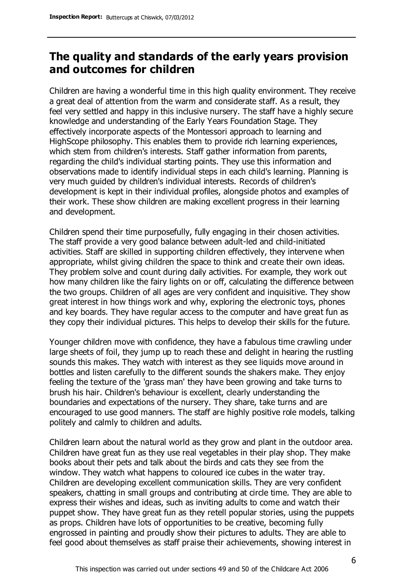# **The quality and standards of the early years provision and outcomes for children**

Children are having a wonderful time in this high quality environment. They receive a great deal of attention from the warm and considerate staff. As a result, they feel very settled and happy in this inclusive nursery. The staff have a highly secure knowledge and understanding of the Early Years Foundation Stage. They effectively incorporate aspects of the Montessori approach to learning and HighScope philosophy. This enables them to provide rich learning experiences, which stem from children's interests. Staff gather information from parents, regarding the child's individual starting points. They use this information and observations made to identify individual steps in each child's learning. Planning is very much guided by children's individual interests. Records of children's development is kept in their individual profiles, alongside photos and examples of their work. These show children are making excellent progress in their learning and development.

Children spend their time purposefully, fully engaging in their chosen activities. The staff provide a very good balance between adult-led and child-initiated activities. Staff are skilled in supporting children effectively, they intervene when appropriate, whilst giving children the space to think and create their own ideas. They problem solve and count during daily activities. For example, they work out how many children like the fairy lights on or off, calculating the difference between the two groups. Children of all ages are very confident and inquisitive. They show great interest in how things work and why, exploring the electronic toys, phones and key boards. They have regular access to the computer and have great fun as they copy their individual pictures. This helps to develop their skills for the future.

Younger children move with confidence, they have a fabulous time crawling under large sheets of foil, they jump up to reach these and delight in hearing the rustling sounds this makes. They watch with interest as they see liquids move around in bottles and listen carefully to the different sounds the shakers make. They enjoy feeling the texture of the 'grass man' they have been growing and take turns to brush his hair. Children's behaviour is excellent, clearly understanding the boundaries and expectations of the nursery. They share, take turns and are encouraged to use good manners. The staff are highly positive role models, talking politely and calmly to children and adults.

Children learn about the natural world as they grow and plant in the outdoor area. Children have great fun as they use real vegetables in their play shop. They make books about their pets and talk about the birds and cats they see from the window. They watch what happens to coloured ice cubes in the water tray. Children are developing excellent communication skills. They are very confident speakers, chatting in small groups and contributing at circle time. They are able to express their wishes and ideas, such as inviting adults to come and watch their puppet show. They have great fun as they retell popular stories, using the puppets as props. Children have lots of opportunities to be creative, becoming fully engrossed in painting and proudly show their pictures to adults. They are able to feel good about themselves as staff praise their achievements, showing interest in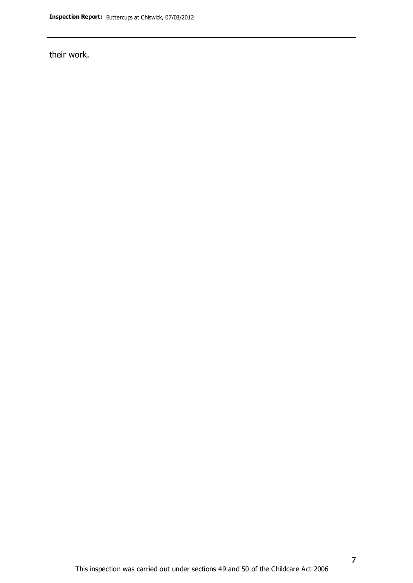their work.